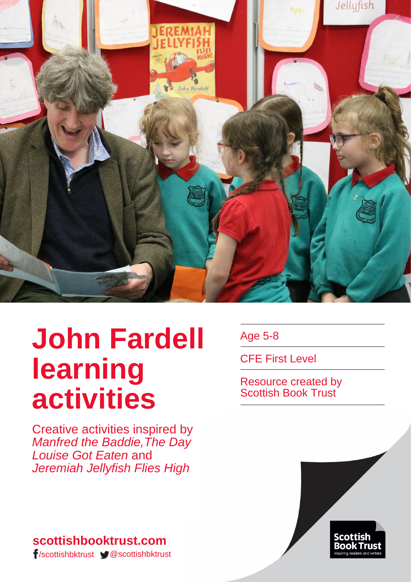

# **John Fardell learning activities**

Creative activities inspired by *Manfred the Baddie, The Day Louise Got Eaten* and *Jeremiah Jellyfish Flies High*

**scottishbooktrust.com** /scottishbktrust @scottishbktrust Age 5-8

CFE First Level

Resource created by Scottish Book Trust

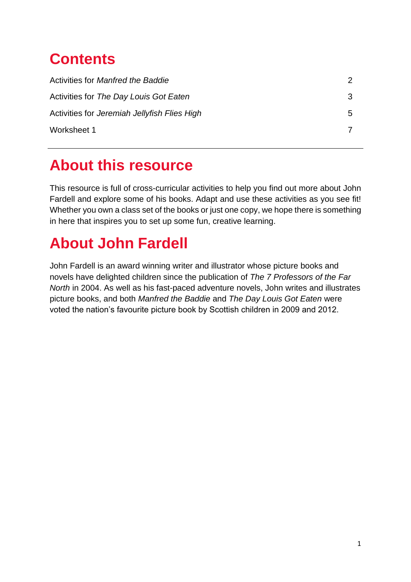# **Contents**

| Activities for Manfred the Baddie            | 2. |
|----------------------------------------------|----|
| Activities for The Day Louis Got Eaten       | 3  |
| Activities for Jeremiah Jellyfish Flies High | 5. |
| Worksheet 1                                  |    |

### **About this resource**

This resource is full of cross-curricular activities to help you find out more about John Fardell and explore some of his books. Adapt and use these activities as you see fit! Whether you own a class set of the books or just one copy, we hope there is something in here that inspires you to set up some fun, creative learning.

# **About John Fardell**

John Fardell is an award winning writer and illustrator whose picture books and novels have delighted children since the publication of *The 7 Professors of the Far North* in 2004. As well as his fast-paced adventure novels, John writes and illustrates picture books, and both *Manfred the Baddie* and *The Day Louis Got Eaten* were voted the nation's favourite picture book by Scottish children in 2009 and 2012.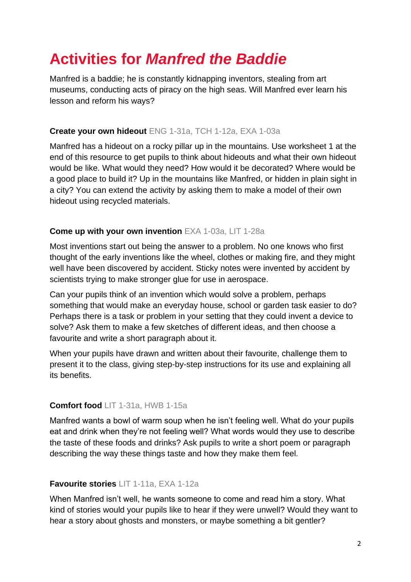# **Activities for** *Manfred the Baddie*

Manfred is a baddie; he is constantly kidnapping inventors, stealing from art museums, conducting acts of piracy on the high seas. Will Manfred ever learn his lesson and reform his ways?

#### **Create your own hideout** ENG 1-31a, TCH 1-12a, EXA 1-03a

Manfred has a hideout on a rocky pillar up in the mountains. Use worksheet 1 at the end of this resource to get pupils to think about hideouts and what their own hideout would be like. What would they need? How would it be decorated? Where would be a good place to build it? Up in the mountains like Manfred, or hidden in plain sight in a city? You can extend the activity by asking them to make a model of their own hideout using recycled materials.

#### **Come up with your own invention** EXA 1-03a, LIT 1-28a

Most inventions start out being the answer to a problem. No one knows who first thought of the early inventions like the wheel, clothes or making fire, and they might well have been discovered by accident. Sticky notes were invented by accident by scientists trying to make stronger glue for use in aerospace.

Can your pupils think of an invention which would solve a problem, perhaps something that would make an everyday house, school or garden task easier to do? Perhaps there is a task or problem in your setting that they could invent a device to solve? Ask them to make a few sketches of different ideas, and then choose a favourite and write a short paragraph about it.

When your pupils have drawn and written about their favourite, challenge them to present it to the class, giving step-by-step instructions for its use and explaining all its benefits.

#### **Comfort food** LIT 1-31a, HWB 1-15a

Manfred wants a bowl of warm soup when he isn't feeling well. What do your pupils eat and drink when they're not feeling well? What words would they use to describe the taste of these foods and drinks? Ask pupils to write a short poem or paragraph describing the way these things taste and how they make them feel.

#### **Favourite stories** LIT 1-11a, EXA 1-12a

When Manfred isn't well, he wants someone to come and read him a story. What kind of stories would your pupils like to hear if they were unwell? Would they want to hear a story about ghosts and monsters, or maybe something a bit gentler?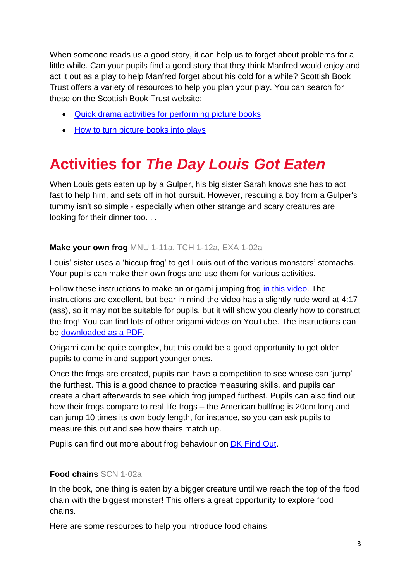When someone reads us a good story, it can help us to forget about problems for a little while. Can your pupils find a good story that they think Manfred would enjoy and act it out as a play to help Manfred forget about his cold for a while? Scottish Book Trust offers a variety of resources to help you plan your play. You can search for these on the Scottish Book Trust website:

- [Quick drama activities for performing picture books](https://www.scottishbooktrust.com/learning-resources/picture-book-drama-activities)
- [How to turn picture books into plays](https://www.scottishbooktrust.com/learning-resources/how-to-turn-picture-books-into-plays)

# **Activities for** *The Day Louis Got Eaten*

When Louis gets eaten up by a Gulper, his big sister Sarah knows she has to act fast to help him, and sets off in hot pursuit. However, rescuing a boy from a Gulper's tummy isn't so simple - especially when other strange and scary creatures are looking for their dinner too. . .

#### **Make your own frog** MNU 1-11a, TCH 1-12a, EXA 1-02a

Louis' sister uses a 'hiccup frog' to get Louis out of the various monsters' stomachs. Your pupils can make their own frogs and use them for various activities.

Follow these instructions to make an origami jumping frog [in this video.](https://www.youtube.com/watch?v=uj5t4klo-SA) The instructions are excellent, but bear in mind the video has a slightly rude word at 4:17 (ass), so it may not be suitable for pupils, but it will show you clearly how to construct the frog! You can find lots of other origami videos on YouTube. The instructions can be [downloaded as a PDF.](http://tavinsorigami.com/downloads/)

Origami can be quite complex, but this could be a good opportunity to get older pupils to come in and support younger ones.

Once the frogs are created, pupils can have a competition to see whose can 'jump' the furthest. This is a good chance to practice measuring skills, and pupils can create a chart afterwards to see which frog jumped furthest. Pupils can also find out how their frogs compare to real life frogs – the American bullfrog is 20cm long and can jump 10 times its own body length, for instance, so you can ask pupils to measure this out and see how theirs match up.

Pupils can find out more about frog behaviour on [DK Find Out.](https://www.dkfindout.com/uk/animals-and-nature/amphibians/how-frog-jumps/)

#### **Food chains** SCN 1-02a

In the book, one thing is eaten by a bigger creature until we reach the top of the food chain with the biggest monster! This offers a great opportunity to explore food chains.

Here are some resources to help you introduce food chains: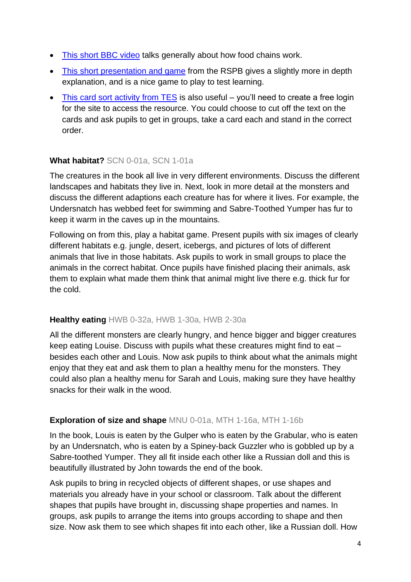- [This short BBC video](https://www.bbc.co.uk/bitesize/clips/z8hxpv4) talks generally about how food chains work.
- [This short presentation and game](https://www.rspb.org.uk/fun-and-learning/for-kids/games-and-activities/online-games-for-kids/food-chain-challenge/) from the RSPB gives a slightly more in depth explanation, and is a nice game to play to test learning.
- [This card sort activity from TES](https://www.tes.com/teaching-resource/food-chain-card-sort-activity-6082043) is also useful you'll need to create a free login for the site to access the resource. You could choose to cut off the text on the cards and ask pupils to get in groups, take a card each and stand in the correct order.

#### **What habitat?** SCN 0-01a, SCN 1-01a

The creatures in the book all live in very different environments. Discuss the different landscapes and habitats they live in. Next, look in more detail at the monsters and discuss the different adaptions each creature has for where it lives. For example, the Undersnatch has webbed feet for swimming and Sabre-Toothed Yumper has fur to keep it warm in the caves up in the mountains.

Following on from this, play a habitat game. Present pupils with six images of clearly different habitats e.g. jungle, desert, icebergs, and pictures of lots of different animals that live in those habitats. Ask pupils to work in small groups to place the animals in the correct habitat. Once pupils have finished placing their animals, ask them to explain what made them think that animal might live there e.g. thick fur for the cold.

#### **Healthy eating** HWB 0-32a, HWB 1-30a, HWB 2-30a

All the different monsters are clearly hungry, and hence bigger and bigger creatures keep eating Louise. Discuss with pupils what these creatures might find to eat – besides each other and Louis. Now ask pupils to think about what the animals might enjoy that they eat and ask them to plan a healthy menu for the monsters. They could also plan a healthy menu for Sarah and Louis, making sure they have healthy snacks for their walk in the wood.

#### **Exploration of size and shape** MNU 0-01a, MTH 1-16a, MTH 1-16b

In the book, Louis is eaten by the Gulper who is eaten by the Grabular, who is eaten by an Undersnatch, who is eaten by a Spiney-back Guzzler who is gobbled up by a Sabre-toothed Yumper. They all fit inside each other like a Russian doll and this is beautifully illustrated by John towards the end of the book.

Ask pupils to bring in recycled objects of different shapes, or use shapes and materials you already have in your school or classroom. Talk about the different shapes that pupils have brought in, discussing shape properties and names. In groups, ask pupils to arrange the items into groups according to shape and then size. Now ask them to see which shapes fit into each other, like a Russian doll. How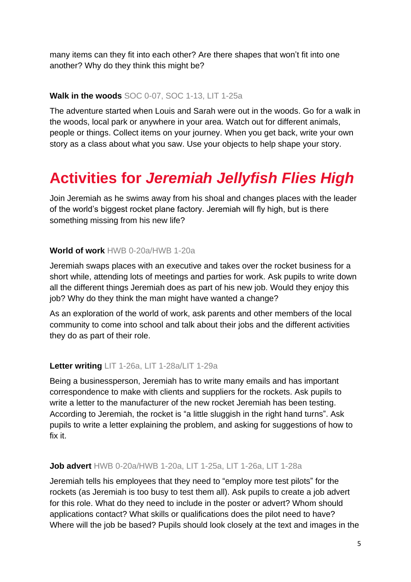many items can they fit into each other? Are there shapes that won't fit into one another? Why do they think this might be?

#### **Walk in the woods** SOC 0-07, SOC 1-13, LIT 1-25a

The adventure started when Louis and Sarah were out in the woods. Go for a walk in the woods, local park or anywhere in your area. Watch out for different animals, people or things. Collect items on your journey. When you get back, write your own story as a class about what you saw. Use your objects to help shape your story.

# **Activities for** *Jeremiah Jellyfish Flies High*

Join Jeremiah as he swims away from his shoal and changes places with the leader of the world's biggest rocket plane factory. Jeremiah will fly high, but is there something missing from his new life?

#### **World of work** HWB 0-20a/HWB 1-20a

Jeremiah swaps places with an executive and takes over the rocket business for a short while, attending lots of meetings and parties for work. Ask pupils to write down all the different things Jeremiah does as part of his new job. Would they enjoy this job? Why do they think the man might have wanted a change?

As an exploration of the world of work, ask parents and other members of the local community to come into school and talk about their jobs and the different activities they do as part of their role.

#### **Letter writing** LIT 1-26a, LIT 1-28a/LIT 1-29a

Being a businessperson, Jeremiah has to write many emails and has important correspondence to make with clients and suppliers for the rockets. Ask pupils to write a letter to the manufacturer of the new rocket Jeremiah has been testing. According to Jeremiah, the rocket is "a little sluggish in the right hand turns". Ask pupils to write a letter explaining the problem, and asking for suggestions of how to fix it.

#### **Job advert** HWB 0-20a/HWB 1-20a, LIT 1-25a, LIT 1-26a, LIT 1-28a

Jeremiah tells his employees that they need to "employ more test pilots" for the rockets (as Jeremiah is too busy to test them all). Ask pupils to create a job advert for this role. What do they need to include in the poster or advert? Whom should applications contact? What skills or qualifications does the pilot need to have? Where will the job be based? Pupils should look closely at the text and images in the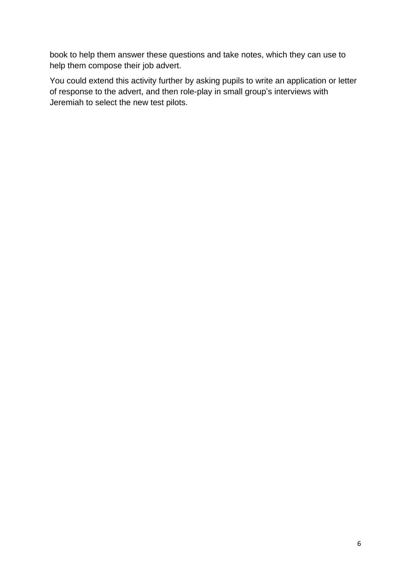book to help them answer these questions and take notes, which they can use to help them compose their job advert.

You could extend this activity further by asking pupils to write an application or letter of response to the advert, and then role-play in small group's interviews with Jeremiah to select the new test pilots.